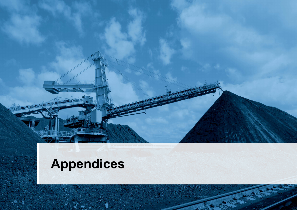# **Appendices**

**152**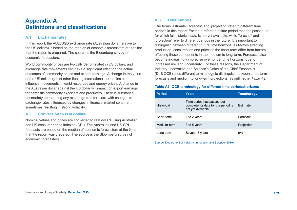### **Appendix A Definitions and classifications**

#### **A.1 Exchange rates**

In this report, the AUD/USD exchange rate (Australian dollar relative to the US dollars) is based on the median of economic forecasters at the time that the report is prepared. The source is the Bloomberg survey of economic forecasters.

World commodity prices are typically denominated in US dollars, and exchange rate movements can have a significant effect on the actual outcomes of commodity prices and export earnings. A change in the value of the US dollar against other floating international currencies can influence movements in world resources and energy prices. A change in the Australian dollar against the US dollar will impact on export earnings for domestic commodity exporters and producers. There is substantial uncertainty surrounding any exchange rate forecast, with changes to exchange rates influenced by changes in financial market sentiment, sometimes resulting in strong volatility.

#### **A.2 Conversion to real dollars**

Nominal values and prices are converted to real dollars using Australian and US consumer price indexes (CPI). The Australian and US CPI forecasts are based on the median of economic forecasters at the time that the report was prepared. The source is the Bloomberg survey of economic forecasters.

#### **A.3 Time periods**

The terms 'estimate', 'forecast' and 'projection' refer to different time periods in this report. Estimate refers to a time period that has passed, but for which full historical data is not yet available, while 'forecast' and 'projection' refer to different periods in the future. It is important to distinguish between different future time horizons, as factors affecting production, consumption and prices in the short-term differ from factors affecting these components in the medium to long-term. Forecasts also become increasingly imprecise over longer time horizons, due to increased risk and uncertainty. For these reasons, the Department of Industry, Innovation and Science's Office of the Chief Economist (DIIS OCE) uses different terminology to distinguish between short-term forecasts and medium to long-term projections, as outlined in *Table A2*.

#### **Table A1: OCE terminology for different time periods/horizons**

| <b>Period</b> | <b>Years</b>                                                                           | <b>Terminology</b> |
|---------------|----------------------------------------------------------------------------------------|--------------------|
| Historical    | Time period has passed but<br>complete for data for the period is<br>not yet available | <b>Fstimate</b>    |
| Short-term    | 1 to 2 years                                                                           | Forecast           |
| Medium-term   | 3 to 5 years                                                                           | Projection         |
| Long-term     | Beyond 5 years                                                                         | n/a                |

Source: Department of Industry, Innovation and Science (2019)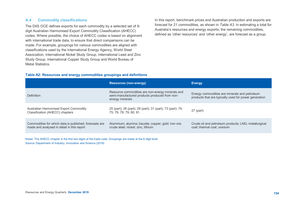#### **A.4 Commodity classifications**

The DIIS OCE defines exports for each commodity by a selected set of 8 digit Australian Harmonised Export Commodity Classification (AHECC) codes. Where possible, the choice of AHECC codes is based on alignment with international trade data, to ensure that direct comparisons can be made. For example, groupings for various commodities are aligned with classifications used by the International Energy Agency, World Steel Association, International Nickel Study Group, International Lead and Zinc Study Group, International Copper Study Group and World Bureau of Metal Statistics.

In this report, benchmark prices and Australian production and exports are forecast for 21 commodities, as shown in *Table A3*. In estimating a total for Australia's resources and energy exports, the remaining commodities, defined as 'other resources' and 'other energy', are forecast as a group.

#### **Table A2: Resources and energy commodities groupings and definitions**

|                                                                                                      | <b>Resources (non-energy)</b>                                                                                        | <b>Energy</b>                                                                                          |
|------------------------------------------------------------------------------------------------------|----------------------------------------------------------------------------------------------------------------------|--------------------------------------------------------------------------------------------------------|
| Definition                                                                                           | Resource commodities are non-energy minerals and<br>semi-manufactured products produced from non-<br>energy minerals | Energy commodities are minerals and petroleum<br>products that are typically used for power generation |
| Australian Harmonised Export Commodity<br>Classification (AHECC) chapters                            | 25 (part); 26 (part); 28 (part); 31 (part); 73 (part); 74;<br>75; 76; 78; 79; 80; 81                                 | 27 (part)                                                                                              |
| Commodities for which data is published, forecasts are<br>made and analysed in detail in this report | Aluminium; alumina; bauxite; copper; gold; iron ore;<br>crude steel; nickel; zinc, lithium                           | Crude oil and petroleum products; LNG; metallurgical<br>coal; thermal coal; uranium                    |

Notes: The AHECC chapter is the first two digits of the trade code. Groupings are made at the 8-digit level. Source: Department of Industry, Innovation and Science (2018)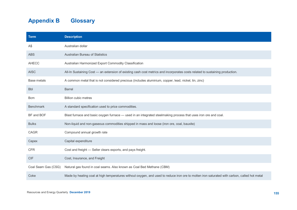## **Appendix B Glossary**

| <b>Term</b>         | <b>Description</b>                                                                                                                           |
|---------------------|----------------------------------------------------------------------------------------------------------------------------------------------|
| A\$                 | Australian dollar                                                                                                                            |
| <b>ABS</b>          | Australian Bureau of Statistics                                                                                                              |
| <b>AHECC</b>        | Australian Harmonized Export Commodity Classification                                                                                        |
| <b>AISC</b>         | All-In Sustaining Cost - an extension of existing cash cost metrics and incorporates costs related to sustaining production.                 |
| Base metals         | A common metal that is not considered precious (includes aluminium, copper, lead, nickel, tin, zinc)                                         |
| <b>Bbl</b>          | <b>Barrel</b>                                                                                                                                |
| <b>B</b> cm         | <b>Billion cubic metres</b>                                                                                                                  |
| <b>Benchmark</b>    | A standard specification used to price commodities.                                                                                          |
| BF and BOF          | Blast furnace and basic oxygen furnace - used in an integrated steelmaking process that uses iron ore and coal.                              |
| <b>Bulks</b>        | Non-liquid and non-gaseous commodities shipped in mass and loose (iron ore, coal, bauxite)                                                   |
| <b>CAGR</b>         | Compound annual growth rate                                                                                                                  |
| Capex               | Capital expenditure                                                                                                                          |
| <b>CFR</b>          | Cost and freight - Seller clears exports, and pays freight.                                                                                  |
| <b>CIF</b>          | Cost, Insurance, and Freight                                                                                                                 |
| Coal Seam Gas (CSG) | Natural gas found in coal seams. Also known as Coal Bed Methane (CBM)                                                                        |
| Coke                | Made by heating coal at high temperatures without oxygen, and used to reduce iron ore to molten iron saturated with carbon, called hot metal |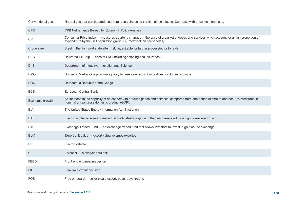| Conventional gas | Natural gas that can be produced from reservoirs using traditional techniques. Contrasts with unconventional gas.                                                                                                  |
|------------------|--------------------------------------------------------------------------------------------------------------------------------------------------------------------------------------------------------------------|
| <b>CPB</b>       | CPB Netherlands Bureau for Economic Policy Analysis                                                                                                                                                                |
| <b>CPI</b>       | Consumer Price Index — measures quarterly changes in the price of a basket of goods and services which account for a high proportion of<br>expenditure by the CPI population group (i.e. metropolitan households). |
| Crude steel      | Steel in the first solid state after melting, suitable for further processing or for sale.                                                                                                                         |
| <b>DES</b>       | Delivered Ex Ship - price of LNG including shipping and insurance.                                                                                                                                                 |
| <b>DIIS</b>      | Department of Industry, Innovation and Science                                                                                                                                                                     |
| <b>DMO</b>       | Domestic Market Obligation - a policy to reserve energy commodities for domestic usage                                                                                                                             |
| <b>DRC</b>       | Democratic Republic of the Congo                                                                                                                                                                                   |
| <b>ECB</b>       | European Central Bank                                                                                                                                                                                              |
| Economic growth  | An increase in the capacity of an economy to produce goods and services, compared from one period of time to another. It is measured in<br>nominal or real gross domestic product (GDP).                           |
| <b>EIA</b>       | The United States Energy Information Administration                                                                                                                                                                |
| <b>EAF</b>       | Electric arc furnace — a furnace that melts steel scrap using the heat generated by a high power electric arc.                                                                                                     |
| ETF.             | Exchange Traded Fund - an exchange traded fund that allows investors to invest in gold on the exchange.                                                                                                            |
| <b>EUV</b>       | Export unit value - export value/volumes exported                                                                                                                                                                  |
| <b>EV</b>        | Electric vehicle                                                                                                                                                                                                   |
| f                | Forecast - a two year outlook                                                                                                                                                                                      |
| <b>FEED</b>      | Front end engineering design                                                                                                                                                                                       |
| <b>FID</b>       | Final investment decision                                                                                                                                                                                          |
| <b>FOB</b>       | Free on board - seller clears export, buyer pays freight.                                                                                                                                                          |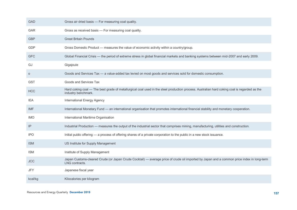| <b>GAD</b> | Gross air dried basis - For measuring coal quality.                                                                                                                 |
|------------|---------------------------------------------------------------------------------------------------------------------------------------------------------------------|
| GAR        | Gross as received basis - For measuring coal quality.                                                                                                               |
| <b>GBP</b> | <b>Great Britain Pounds</b>                                                                                                                                         |
| <b>GDP</b> | Gross Domestic Product - measures the value of economic activity within a country/group.                                                                            |
| <b>GFC</b> | Global Financial Crisis — the period of extreme stress in global financial markets and banking systems between mid-2007 and early 2009.                             |
| GJ         | Gigajoule                                                                                                                                                           |
| $\circ$    | Goods and Services Tax - a value-added tax levied on most goods and services sold for domestic consumption.                                                         |
| <b>GST</b> | Goods and Services Tax                                                                                                                                              |
| <b>HCC</b> | Hard coking coal — The best grade of metallurgical coal used in the steel production process. Australian hard coking coal is regarded as the<br>industry benchmark. |
| IEA        | International Energy Agency                                                                                                                                         |
| <b>IMF</b> | International Monetary Fund - an international organisation that promotes international financial stability and monetary cooperation.                               |
| <b>IMO</b> | International Maritime Organisation                                                                                                                                 |
| IP         | Industrial Production - measures the output of the industrial sector that comprises mining, manufacturing, utilities and construction.                              |
| <b>IPO</b> | Initial public offering - a process of offering shares of a private corporation to the public in a new stock issuance.                                              |
| <b>ISM</b> | US Institute for Supply Management                                                                                                                                  |
| <b>ISM</b> | Institute of Supply Management                                                                                                                                      |
| <b>JCC</b> | Japan Customs-cleared Crude (or Japan Crude Cocktail) — average price of crude oil imported by Japan and a common price index in long-term<br>LNG contracts.        |
| <b>JFY</b> | Japanese fiscal year                                                                                                                                                |
| kcal/kg    | Kilocalories per kilogram                                                                                                                                           |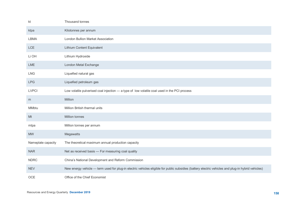| kt                 | Thousand tonnes                                                                                                                                    |
|--------------------|----------------------------------------------------------------------------------------------------------------------------------------------------|
| ktpa               | Kilotonnes per annum                                                                                                                               |
| <b>LBMA</b>        | London Bullion Market Association                                                                                                                  |
| <b>LCE</b>         | Lithium Content Equivalent                                                                                                                         |
| Li OH              | Lithium Hydroxide                                                                                                                                  |
| LME                | London Metal Exchange                                                                                                                              |
| <b>LNG</b>         | Liquefied natural gas                                                                                                                              |
| <b>LPG</b>         | Liquefied petroleum gas                                                                                                                            |
| <b>LVPCI</b>       | Low volatile pulverised coal injection - a type of low volatile coal used in the PCI process                                                       |
| m                  | Million                                                                                                                                            |
| <b>MMbtu</b>       | Million British thermal units                                                                                                                      |
| Mt                 | Million tonnes                                                                                                                                     |
| mtpa               | Million tonnes per annum                                                                                                                           |
| <b>MW</b>          | Megawatts                                                                                                                                          |
| Nameplate capacity | The theoretical maximum annual production capacity                                                                                                 |
| <b>NAR</b>         | Net as received basis - For measuring coal quality                                                                                                 |
| <b>NDRC</b>        | China's National Development and Reform Commission                                                                                                 |
| <b>NEV</b>         | New energy vehicle - term used for plug-in electric vehicles eligible for public subsidies (battery electric vehicles and plug-in hybrid vehicles) |
| <b>OCE</b>         | Office of the Chief Economist                                                                                                                      |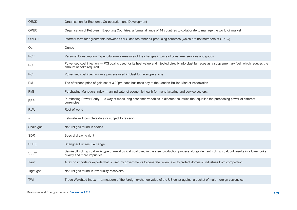| OECD        | Organisation for Economic Co-operation and Development                                                                                                                            |
|-------------|-----------------------------------------------------------------------------------------------------------------------------------------------------------------------------------|
| OPEC        | Organisation of Petroleum Exporting Countries, a formal alliance of 14 countries to collaborate to manage the world oil market                                                    |
| OPEC+       | Informal term for agreements between OPEC and ten other oil-producing countries (which are not members of OPEC)                                                                   |
| Oz.         | Ounce                                                                                                                                                                             |
| <b>PCE</b>  | Personal Consumption Expenditure - a measure of the changes in price of consumer services and goods.                                                                              |
| PCI         | Pulverised coal injection - PCI coal is used for its heat value and injected directly into blast furnaces as a supplementary fuel, which reduces the<br>amount of coke required.  |
| PCI         | Pulverised coal injection - a process used in blast furnace operations                                                                                                            |
| <b>PM</b>   | The afternoon price of gold set at 3.00pm each business day at the London Bullion Market Association                                                                              |
| <b>PMI</b>  | Purchasing Managers Index - an indicator of economic health for manufacturing and service sectors.                                                                                |
| <b>PPP</b>  | Purchasing Power Parity — a way of measuring economic variables in different countries that equalise the purchasing power of different<br>currencies                              |
| <b>RoW</b>  | Rest of world                                                                                                                                                                     |
| S           | Estimate - Incomplete data or subject to revision                                                                                                                                 |
| Shale gas   | Natural gas found in shales                                                                                                                                                       |
| <b>SDR</b>  | Special drawing right                                                                                                                                                             |
| <b>SHFE</b> | Shanghai Futures Exchange                                                                                                                                                         |
| <b>SSCC</b> | Semi-soft coking coal - A type of metallurgical coal used in the steel production process alongside hard coking coal, but results in a lower coke<br>quality and more impurities. |
| Tariff      | A tax on imports or exports that is used by governments to generate revenue or to protect domestic industries from competition.                                                   |
| Tight gas   | Natural gas found in low quality reservoirs                                                                                                                                       |
| <b>TWI</b>  | Trade Weighted Index — a measure of the foreign exchange value of the US dollar against a basket of major foreign currencies.                                                     |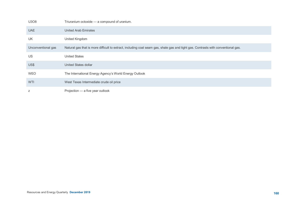| U3O8               | Triuranium octoxide - a compound of uranium.                                                                                      |
|--------------------|-----------------------------------------------------------------------------------------------------------------------------------|
| <b>UAE</b>         | <b>United Arab Emirates</b>                                                                                                       |
| UK                 | United Kingdom                                                                                                                    |
| Unconventional gas | Natural gas that is more difficult to extract, including coal seam gas, shale gas and tight gas. Contrasts with conventional gas. |
| US                 | <b>United States</b>                                                                                                              |
| US\$               | United States dollar                                                                                                              |
| <b>WEO</b>         | The International Energy Agency's World Energy Outlook                                                                            |
| <b>WTI</b>         | West Texas Intermediate crude oil price                                                                                           |
| Ζ                  | Projection - a five year outlook                                                                                                  |